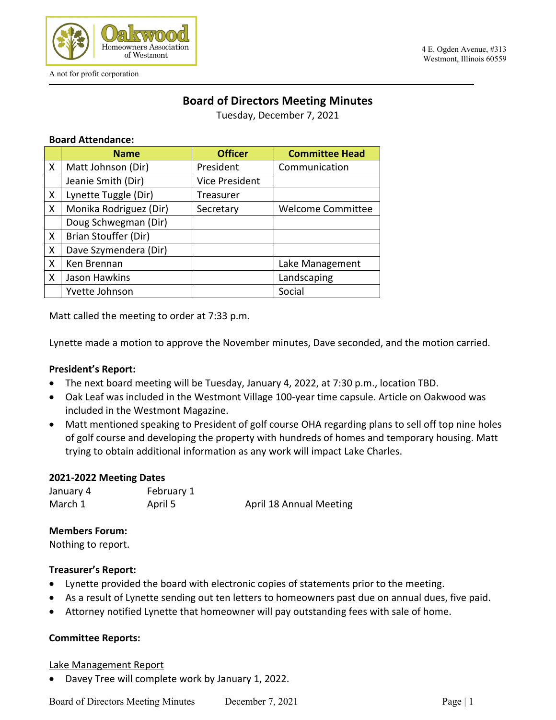

# **Board of Directors Meeting Minutes**

Tuesday, December 7, 2021

### **Board Attendance:**

|              | <b>Name</b>            | <b>Officer</b>        | <b>Committee Head</b>    |
|--------------|------------------------|-----------------------|--------------------------|
| X            | Matt Johnson (Dir)     | President             | Communication            |
|              | Jeanie Smith (Dir)     | <b>Vice President</b> |                          |
| X            | Lynette Tuggle (Dir)   | <b>Treasurer</b>      |                          |
| X            | Monika Rodriguez (Dir) | Secretary             | <b>Welcome Committee</b> |
|              | Doug Schwegman (Dir)   |                       |                          |
| $\sf X$      | Brian Stouffer (Dir)   |                       |                          |
| X            | Dave Szymendera (Dir)  |                       |                          |
| X            | Ken Brennan            |                       | Lake Management          |
| $\mathsf{X}$ | Jason Hawkins          |                       | Landscaping              |
|              | Yvette Johnson         |                       | Social                   |

Matt called the meeting to order at 7:33 p.m.

Lynette made a motion to approve the November minutes, Dave seconded, and the motion carried.

### **President's Report:**

- The next board meeting will be Tuesday, January 4, 2022, at 7:30 p.m., location TBD.
- Oak Leaf was included in the Westmont Village 100-year time capsule. Article on Oakwood was included in the Westmont Magazine.
- Matt mentioned speaking to President of golf course OHA regarding plans to sell off top nine holes of golf course and developing the property with hundreds of homes and temporary housing. Matt trying to obtain additional information as any work will impact Lake Charles.

#### **2021-2022 Meeting Dates**

January 4 February 1 March 1 **April 5** April 18 Annual Meeting

#### **Members Forum:**

Nothing to report.

### **Treasurer's Report:**

- Lynette provided the board with electronic copies of statements prior to the meeting.
- As a result of Lynette sending out ten letters to homeowners past due on annual dues, five paid.
- Attorney notified Lynette that homeowner will pay outstanding fees with sale of home.

### **Committee Reports:**

### Lake Management Report

• Davey Tree will complete work by January 1, 2022.